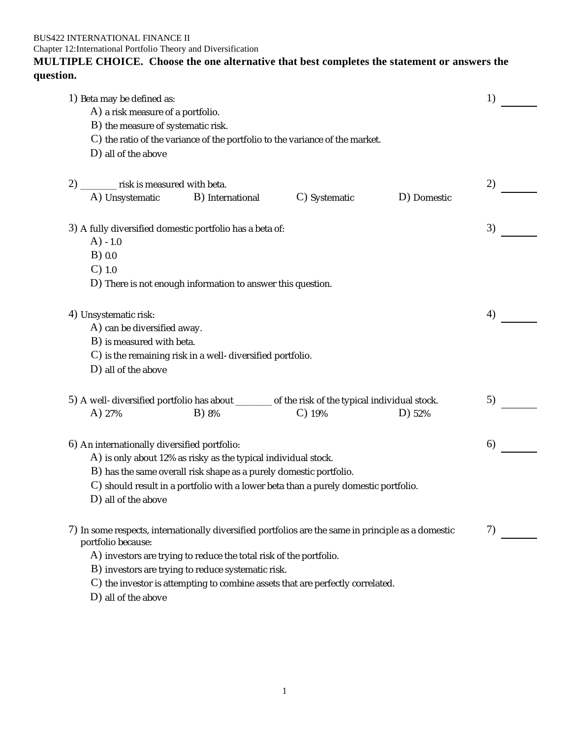BUS422 INTERNATIONAL FINANCE II

Chapter 12:International Portfolio Theory and Diversification

# **MULTIPLE CHOICE. Choose the one alternative that best completes the statement or answers the question.**

| 1) Beta may be defined as:                   |                                                                                                     |               |             | 1) |
|----------------------------------------------|-----------------------------------------------------------------------------------------------------|---------------|-------------|----|
| A) a risk measure of a portfolio.            |                                                                                                     |               |             |    |
| B) the measure of systematic risk.           |                                                                                                     |               |             |    |
|                                              | C) the ratio of the variance of the portfolio to the variance of the market.                        |               |             |    |
| D) all of the above                          |                                                                                                     |               |             |    |
| 2) _______ risk is measured with beta.       |                                                                                                     |               |             | 2) |
| A) Unsystematic                              | B) International                                                                                    | C) Systematic | D) Domestic |    |
|                                              | 3) A fully diversified domestic portfolio has a beta of:                                            |               |             | 3) |
| $(A) - 1.0$                                  |                                                                                                     |               |             |    |
| $B)$ 0.0                                     |                                                                                                     |               |             |    |
| $C)$ 1.0                                     |                                                                                                     |               |             |    |
|                                              | D) There is not enough information to answer this question.                                         |               |             |    |
| 4) Unsystematic risk:                        |                                                                                                     |               |             | 4) |
| A) can be diversified away.                  |                                                                                                     |               |             |    |
| B) is measured with beta.                    |                                                                                                     |               |             |    |
|                                              | C) is the remaining risk in a well-diversified portfolio.                                           |               |             |    |
| D) all of the above                          |                                                                                                     |               |             |    |
|                                              | 5) A well-diversified portfolio has about _______ of the risk of the typical individual stock.      |               |             | 5) |
| A) 27%                                       | B) 8%                                                                                               | $C)$ 19%      | D) 52%      |    |
| 6) An internationally diversified portfolio: |                                                                                                     |               |             | 6) |
|                                              | A) is only about 12% as risky as the typical individual stock.                                      |               |             |    |
|                                              | B) has the same overall risk shape as a purely domestic portfolio.                                  |               |             |    |
|                                              | $\mathbf C$ ) should result in a portfolio with a lower beta than a purely domestic portfolio.      |               |             |    |
| D) all of the above                          |                                                                                                     |               |             |    |
| portfolio because:                           | 7) In some respects, internationally diversified portfolios are the same in principle as a domestic |               |             | 7) |
|                                              | A) investors are trying to reduce the total risk of the portfolio.                                  |               |             |    |
|                                              | B) investors are trying to reduce systematic risk.                                                  |               |             |    |
|                                              | C) the investor is attempting to combine assets that are perfectly correlated.                      |               |             |    |
| D) all of the above                          |                                                                                                     |               |             |    |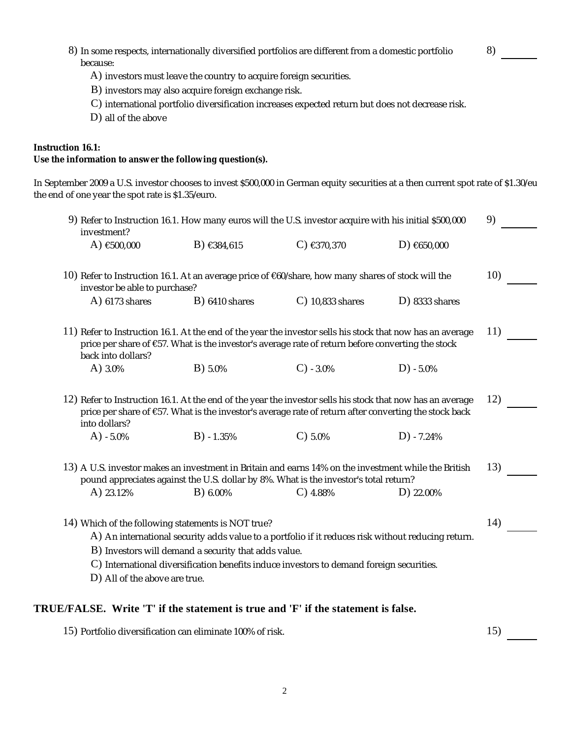|                                                                                                                                                                                         | B) investors may also acquire foreign exchange risk.<br>C) international portfolio diversification increases expected return but does not decrease risk.                                                            |                    |                  |     |
|-----------------------------------------------------------------------------------------------------------------------------------------------------------------------------------------|---------------------------------------------------------------------------------------------------------------------------------------------------------------------------------------------------------------------|--------------------|------------------|-----|
| D) all of the above                                                                                                                                                                     |                                                                                                                                                                                                                     |                    |                  |     |
| Instruction 16.1:<br>Use the information to answer the following question(s).                                                                                                           |                                                                                                                                                                                                                     |                    |                  |     |
|                                                                                                                                                                                         |                                                                                                                                                                                                                     |                    |                  |     |
| In September 2009 a U.S. investor chooses to invest \$500,000 in German equity securities at a then current spot rate of \$1.30/eu<br>the end of one year the spot rate is \$1.35/euro. |                                                                                                                                                                                                                     |                    |                  |     |
| investment?                                                                                                                                                                             | 9) Refer to Instruction 16.1. How many euros will the U.S. investor acquire with his initial \$500,000                                                                                                              |                    |                  | 9)  |
| A) $€500,000$                                                                                                                                                                           | B) $€384,615$                                                                                                                                                                                                       | $C)$ €370,370      | D) $€650,000$    |     |
| investor be able to purchase?                                                                                                                                                           | 10) Refer to Instruction 16.1. At an average price of €60/share, how many shares of stock will the                                                                                                                  |                    |                  | 10) |
| $A)$ 6173 shares                                                                                                                                                                        | $B)$ 6410 shares                                                                                                                                                                                                    | $C)$ 10,833 shares | $D)$ 8333 shares |     |
| back into dollars?                                                                                                                                                                      | 11) Refer to Instruction 16.1. At the end of the year the investor sells his stock that now has an average<br>price per share of €57. What is the investor's average rate of return before converting the stock     |                    |                  | 11) |
| A) 3.0%                                                                                                                                                                                 | B) 5.0%                                                                                                                                                                                                             | $C) -3.0%$         | $D) -5.0%$       |     |
| into dollars?                                                                                                                                                                           | 12) Refer to Instruction 16.1. At the end of the year the investor sells his stock that now has an average<br>price per share of €57. What is the investor's average rate of return after converting the stock back |                    |                  | 12) |
| $A) - 5.0%$                                                                                                                                                                             | $B) - 1.35%$                                                                                                                                                                                                        | $C$ ) 5.0%         | $D) -7.24%$      |     |
| A) 23.12%                                                                                                                                                                               | 13) A U.S. investor makes an investment in Britain and earns 14% on the investment while the British<br>pound appreciates against the U.S. dollar by 8%. What is the investor's total return?<br>B) 6.00%           | $C)$ 4.88%         | D) 22.00%        | 13) |
|                                                                                                                                                                                         |                                                                                                                                                                                                                     |                    |                  |     |
|                                                                                                                                                                                         | 14) Which of the following statements is NOT true?                                                                                                                                                                  |                    |                  | 14) |
|                                                                                                                                                                                         | A) An international security adds value to a portfolio if it reduces risk without reducing return.<br>B) Investors will demand a security that adds value.                                                          |                    |                  |     |
|                                                                                                                                                                                         |                                                                                                                                                                                                                     |                    |                  |     |
| D) All of the above are true.                                                                                                                                                           | C) International diversification benefits induce investors to demand foreign securities.                                                                                                                            |                    |                  |     |

8) In some respects, internationally diversified portfolios are different from a domestic portfolio

because:

8)

15) Portfolio diversification can eliminate 100% of risk. 15 and 15 and 15 and 15 and 15 and 15 and 15 and 15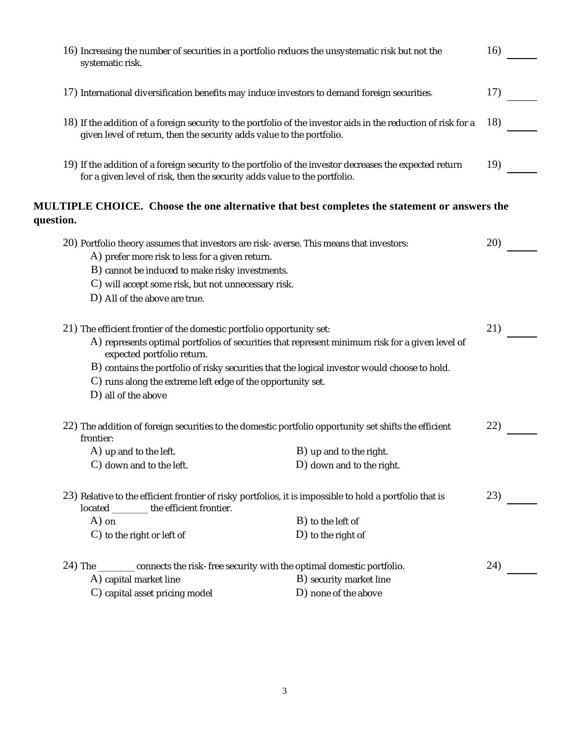|           | 16) Increasing the number of securities in a portfolio reduces the unsystematic risk but not the<br>systematic risk.                                                                                                                                 |                                                                                                                | 16) |
|-----------|------------------------------------------------------------------------------------------------------------------------------------------------------------------------------------------------------------------------------------------------------|----------------------------------------------------------------------------------------------------------------|-----|
|           | 17) International diversification benefits may induce investors to demand foreign securities.                                                                                                                                                        |                                                                                                                | 17) |
|           | given level of return, then the security adds value to the portfolio.                                                                                                                                                                                | 18) If the addition of a foreign security to the portfolio of the investor aids in the reduction of risk for a | 18) |
|           | for a given level of risk, then the security adds value to the portfolio.                                                                                                                                                                            | 19) If the addition of a foreign security to the portfolio of the investor decreases the expected return       | 19) |
| question. |                                                                                                                                                                                                                                                      | MULTIPLE CHOICE. Choose the one alternative that best completes the statement or answers the                   |     |
|           | 20) Portfolio theory assumes that investors are risk-averse. This means that investors:<br>A) prefer more risk to less for a given return.<br>B) cannot be induced to make risky investments.<br>C) will accept some risk, but not unnecessary risk. |                                                                                                                | 20) |
|           | D) All of the above are true.<br>$(21)$ The efficient frontier of the domestic portfolio opportunity set:                                                                                                                                            | A) represents optimal portfolios of securities that represent minimum risk for a given level of                | 21) |
|           | expected portfolio return.<br>C) runs along the extreme left edge of the opportunity set.<br>D) all of the above                                                                                                                                     | B) contains the portfolio of risky securities that the logical investor would choose to hold.                  |     |
|           | frontier:                                                                                                                                                                                                                                            | 22) The addition of foreign securities to the domestic portfolio opportunity set shifts the efficient          | 22) |
|           | A) up and to the left.<br>C) down and to the left.                                                                                                                                                                                                   | B) up and to the right.<br>D) down and to the right.                                                           |     |
|           | 23) Relative to the efficient frontier of risky portfolios, it is impossible to hold a portfolio that is<br>located ________ the efficient frontier.                                                                                                 |                                                                                                                |     |
|           | $A)$ on<br>$C$ ) to the right or left of                                                                                                                                                                                                             | B) to the left of<br>D) to the right of                                                                        |     |
|           | 24) The _______ connects the risk-free security with the optimal domestic portfolio.<br>A) capital market line                                                                                                                                       | B) security market line<br>D) none of the above                                                                | 24) |
|           | C) capital asset pricing model                                                                                                                                                                                                                       |                                                                                                                |     |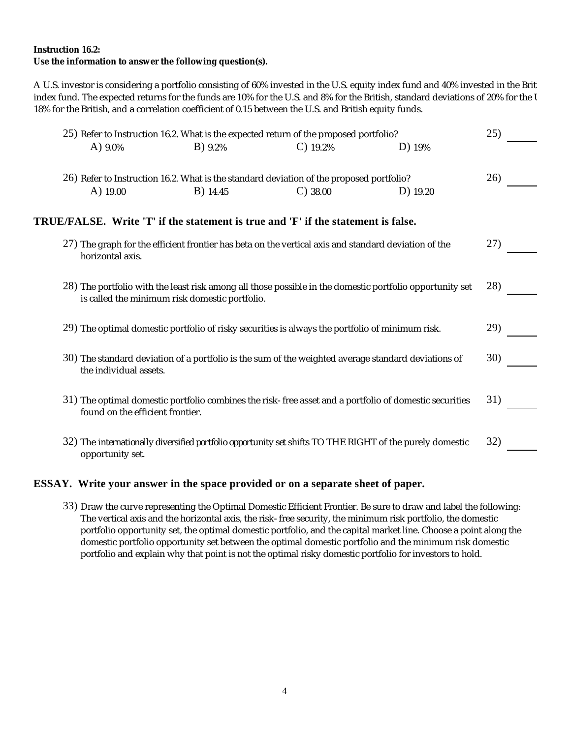**Instruction 16.2:**

**Use the information to answer the following question(s).**

A U.S. investor is considering a portfolio consisting of 60% invested in the U.S. equity index fund and 40% invested in the Brit index fund. The expected returns for the funds are 10% for the U.S. and 8% for the British, standard deviations of 20% for the U.S. and 18% for the British, and a correlation coefficient of 0.15 between the U.S. and British equity funds.

| 25) Refer to Instruction 16.2. What is the expected return of the proposed portfolio? |                                                |                                                                                                      | 25)                                                                                                      |     |
|---------------------------------------------------------------------------------------|------------------------------------------------|------------------------------------------------------------------------------------------------------|----------------------------------------------------------------------------------------------------------|-----|
| A) $9.0\%$                                                                            | $B)$ 9.2%                                      | $C)$ 19.2%                                                                                           | D) 19%                                                                                                   |     |
|                                                                                       |                                                | 26) Refer to Instruction 16.2. What is the standard deviation of the proposed portfolio?             |                                                                                                          | 26) |
| $A)$ 19.00                                                                            | <b>B</b> ) 14.45                               | $C)$ 38.00                                                                                           | D) 19.20                                                                                                 |     |
| TRUE/FALSE. Write 'T' if the statement is true and 'F' if the statement is false.     |                                                |                                                                                                      |                                                                                                          |     |
| horizontal axis.                                                                      |                                                | 27) The graph for the efficient frontier has beta on the vertical axis and standard deviation of the |                                                                                                          | 27) |
|                                                                                       | is called the minimum risk domestic portfolio. |                                                                                                      | 28) The portfolio with the least risk among all those possible in the domestic portfolio opportunity set | 28) |
|                                                                                       |                                                | 29) The optimal domestic portfolio of risky securities is always the portfolio of minimum risk.      |                                                                                                          | 29) |
| the individual assets.                                                                |                                                | 30) The standard deviation of a portfolio is the sum of the weighted average standard deviations of  |                                                                                                          | 30) |
| found on the efficient frontier.                                                      |                                                |                                                                                                      | 31) The optimal domestic portfolio combines the risk-free asset and a portfolio of domestic securities   | 31) |
| opportunity set.                                                                      |                                                |                                                                                                      | 32) The internationally diversified portfolio opportunity set shifts TO THE RIGHT of the purely domestic | 32) |

### **ESSAY. Write your answer in the space provided or on a separate sheet of paper.**

33) Draw the curve representing the Optimal Domestic Efficient Frontier. Be sure to draw and label the following: The vertical axis and the horizontal axis, the risk-free security, the minimum risk portfolio, the domestic portfolio opportunity set, the optimal domestic portfolio, and the capital market line. Choose a point along the domestic portfolio opportunity set between the optimal domestic portfolio and the minimum risk domestic portfolio and explain why that point is not the optimal risky domestic portfolio for investors to hold.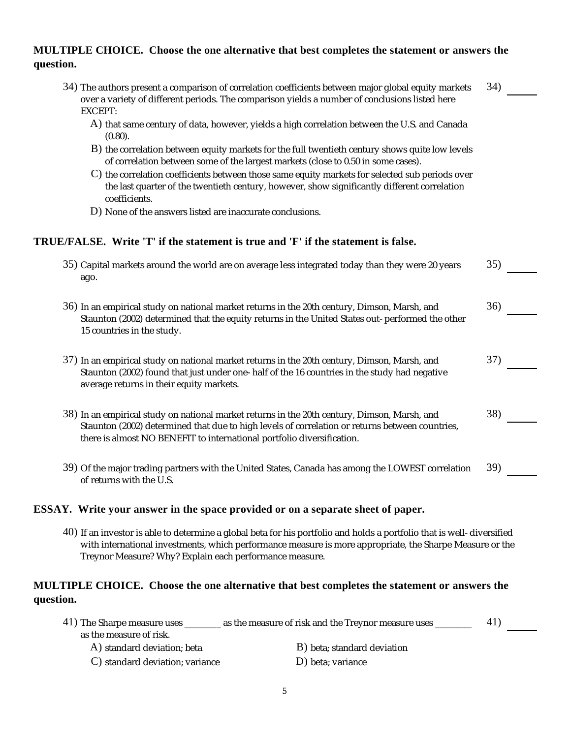# **MULTIPLE CHOICE. Choose the one alternative that best completes the statement or answers the question.**

- 34) The authors present a comparison of correlation coefficients between major global equity markets 34) over a variety of different periods. The comparison yields a number of conclusions listed here EXCEPT:
	- A) that same century of data, however, yields a high correlation between the U.S. and Canada (0.80).
	- $\, {\bf B})$  the correlation between equity markets for the full twentieth century shows quite low levels of correlation between some of the largest markets (close to 0.50 in some cases).
	- $\rm C)$  the correlation coefficients between those same equity markets for selected sub periods over the last quarter of the twentieth century, however, show significantly different correlation coefficients.
	- D) None of the answers listed are inaccurate conclusions.

## **TRUE/FALSE. Write 'T' if the statement is true and 'F' if the statement is false.**

| 35) Capital markets around the world are on average less integrated today than they were 20 years<br>ago.                                                                                                                                                                 | 35) |
|---------------------------------------------------------------------------------------------------------------------------------------------------------------------------------------------------------------------------------------------------------------------------|-----|
| 36) In an empirical study on national market returns in the 20th century, Dimson, Marsh, and<br>Staunton (2002) determined that the equity returns in the United States out-performed the other<br>15 countries in the study.                                             | 36) |
| 37) In an empirical study on national market returns in the 20th century, Dimson, Marsh, and<br>Staunton (2002) found that just under one-half of the 16 countries in the study had negative<br>average returns in their equity markets.                                  | 37) |
| 38) In an empirical study on national market returns in the 20th century, Dimson, Marsh, and<br>Staunton (2002) determined that due to high levels of correlation or returns between countries,<br>there is almost NO BENEFIT to international portfolio diversification. | 38) |
| 39) Of the major trading partners with the United States, Canada has among the LOWEST correlation<br>of returns with the U.S.                                                                                                                                             | 39) |

### **ESSAY. Write your answer in the space provided or on a separate sheet of paper.**

40) If an investor is able to determine a global beta for his portfolio and holds a portfolio that is well-diversified with international investments, which performance measure is more appropriate, the Sharpe Measure or the Treynor Measure? Why? Explain each performance measure.

# **MULTIPLE CHOICE. Choose the one alternative that best completes the statement or answers the question.**

| 41) The Sharpe measure uses | as the measure of risk and the Treynor measure uses |  |
|-----------------------------|-----------------------------------------------------|--|
| as the measure of risk.     |                                                     |  |
| A) standard deviation; beta | B) beta; standard deviation                         |  |

- 
- C) standard deviation; variance D) beta; variance
	-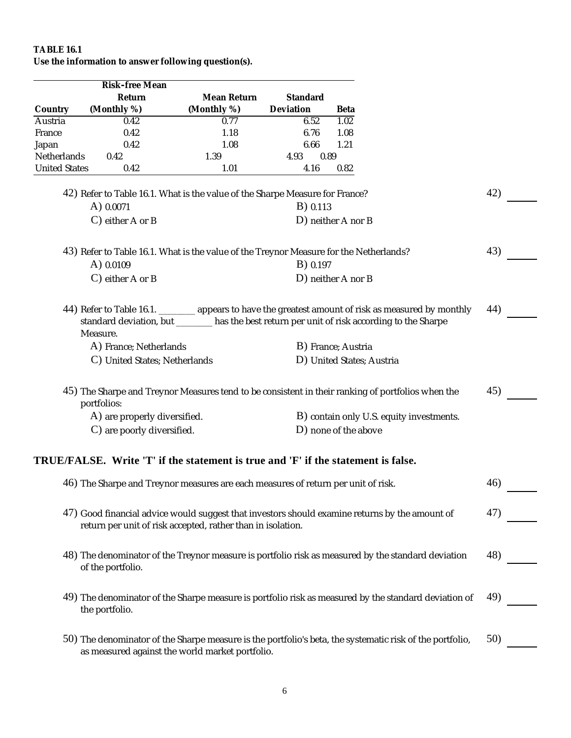# **TABLE 16.1**

**Use the information to answer following question(s).**

|                      | Risk-free Mean                                                                         |             |              |                                                                                                          |     |  |
|----------------------|----------------------------------------------------------------------------------------|-------------|--------------|----------------------------------------------------------------------------------------------------------|-----|--|
|                      | Return                                                                                 | Mean Return | Standard     |                                                                                                          |     |  |
| Country              | (Monthly %)                                                                            | (Monthly %) | Deviation    | Beta                                                                                                     |     |  |
| Austria              | 0.42                                                                                   | 0.77        | 6.52         | 1.02                                                                                                     |     |  |
| France               | 0.42                                                                                   | 1.18        | 6.76         | 1.08                                                                                                     |     |  |
| Japan                | 0.42                                                                                   | 1.08        | 6.66         | 1.21                                                                                                     |     |  |
| Netherlands          | 0.42                                                                                   | 1.39        | 4.93<br>0.89 |                                                                                                          |     |  |
| <b>United States</b> | 0.42                                                                                   | 1.01        | 4.16         | 0.82                                                                                                     |     |  |
|                      | 42) Refer to Table 16.1. What is the value of the Sharpe Measure for France?           |             |              |                                                                                                          | 42) |  |
|                      | A) 0.0071                                                                              |             | B) 0.113     |                                                                                                          |     |  |
|                      | C) either A or B                                                                       |             |              | D) neither A nor B                                                                                       |     |  |
|                      | 43) Refer to Table 16.1. What is the value of the Treynor Measure for the Netherlands? |             |              |                                                                                                          | 43) |  |
|                      | A) 0.0109                                                                              |             | B) 0.197     |                                                                                                          |     |  |
|                      | $C$ ) either A or B                                                                    |             |              | D) neither A nor B                                                                                       |     |  |
|                      |                                                                                        |             |              |                                                                                                          |     |  |
|                      |                                                                                        |             |              | 44) Refer to Table 16.1. _______ appears to have the greatest amount of risk as measured by monthly      | 44) |  |
|                      |                                                                                        |             |              | standard deviation, but _______ has the best return per unit of risk according to the Sharpe             |     |  |
|                      | Measure.                                                                               |             |              |                                                                                                          |     |  |
|                      | A) France; Netherlands                                                                 |             |              | B) France; Austria                                                                                       |     |  |
|                      | C) United States; Netherlands                                                          |             |              | D) United States; Austria                                                                                |     |  |
|                      | portfolios:                                                                            |             |              | 45) The Sharpe and Treynor Measures tend to be consistent in their ranking of portfolios when the        | 45) |  |
|                      | A) are properly diversified.                                                           |             |              | B) contain only U.S. equity investments.                                                                 |     |  |
|                      | C) are poorly diversified.                                                             |             |              | D) none of the above                                                                                     |     |  |
|                      |                                                                                        |             |              |                                                                                                          |     |  |
|                      | TRUE/FALSE. Write 'T' if the statement is true and 'F' if the statement is false.      |             |              |                                                                                                          |     |  |
|                      | 46) The Sharpe and Treynor measures are each measures of return per unit of risk.      |             |              |                                                                                                          | 46) |  |
|                      |                                                                                        |             |              |                                                                                                          |     |  |
|                      | return per unit of risk accepted, rather than in isolation.                            |             |              | 47) Good financial advice would suggest that investors should examine returns by the amount of           | 47) |  |
|                      |                                                                                        |             |              |                                                                                                          |     |  |
|                      |                                                                                        |             |              | 48) The denominator of the Treynor measure is portfolio risk as measured by the standard deviation       | 48) |  |
|                      | of the portfolio.                                                                      |             |              |                                                                                                          |     |  |
|                      |                                                                                        |             |              |                                                                                                          |     |  |
|                      |                                                                                        |             |              | 49) The denominator of the Sharpe measure is portfolio risk as measured by the standard deviation of     | 49) |  |
|                      | the portfolio.                                                                         |             |              |                                                                                                          |     |  |
|                      |                                                                                        |             |              |                                                                                                          | 50) |  |
|                      | as measured against the world market portfolio.                                        |             |              | 50) The denominator of the Sharpe measure is the portfolio's beta, the systematic risk of the portfolio, |     |  |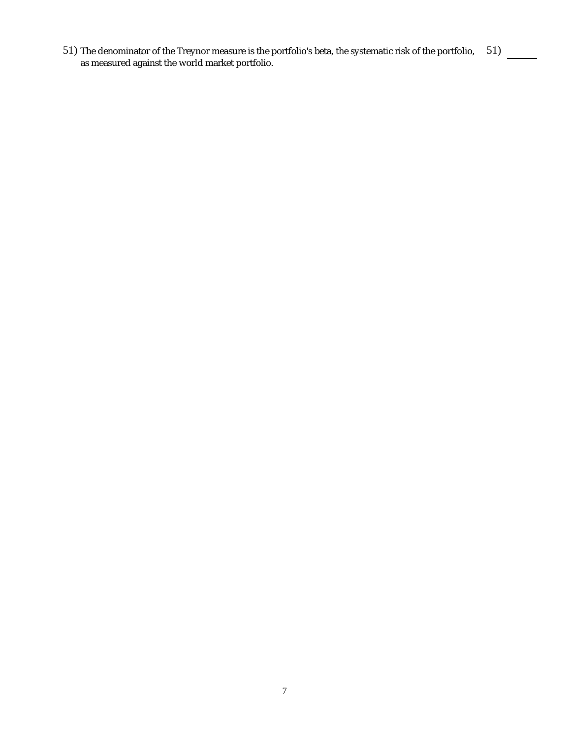51) The denominator of the Treynor measure is the portfolio's beta, the systematic risk of the portfolio, 51) as measured against the world market portfolio.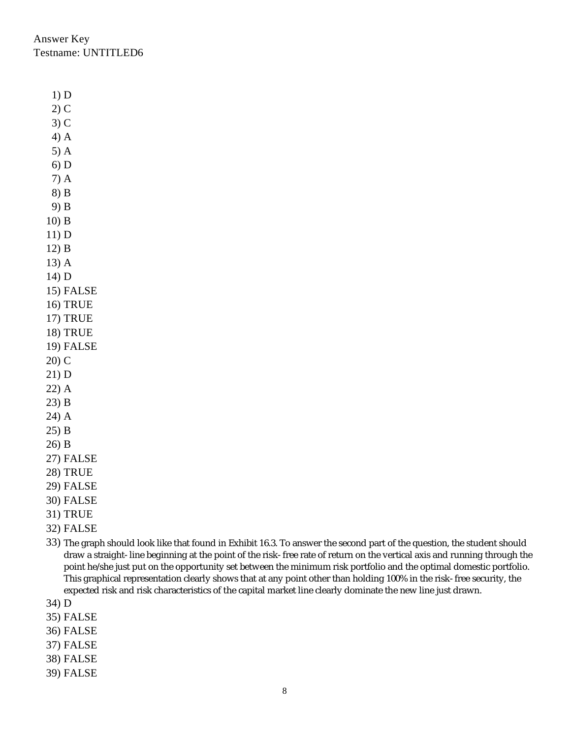Answer Key Testname: UNTITLED6

1) D

2) C 3) C 4) A 5) A 6) D 7) A 8) B 9) B 10) B 11) D 12) B 13) A 14) D 15) FALSE 16) TRUE 17) TRUE 18) TRUE 19) FALSE 20) C 21) D 22) A 23) B 24) A 25) B 26) B 27) FALSE

- 28) TRUE
- 29) FALSE
- 30) FALSE
- 31) TRUE
- 32) FALSE
- 33) The graph should look like that found in Exhibit 16.3. To answer the second part of the question, the student should draw a straight-line beginning at the point of the risk-free rate of return on the vertical axis and running through the point he/she just put on the opportunity set between the minimum risk portfolio and the optimal domestic portfolio. This graphical representation clearly shows that at any point other than holding 100% in the risk-free security, the expected risk and risk characteristics of the capital market line clearly dominate the new line just drawn.
- 34) D
- 35) FALSE
- 36) FALSE
- 37) FALSE
- 38) FALSE
- 39) FALSE